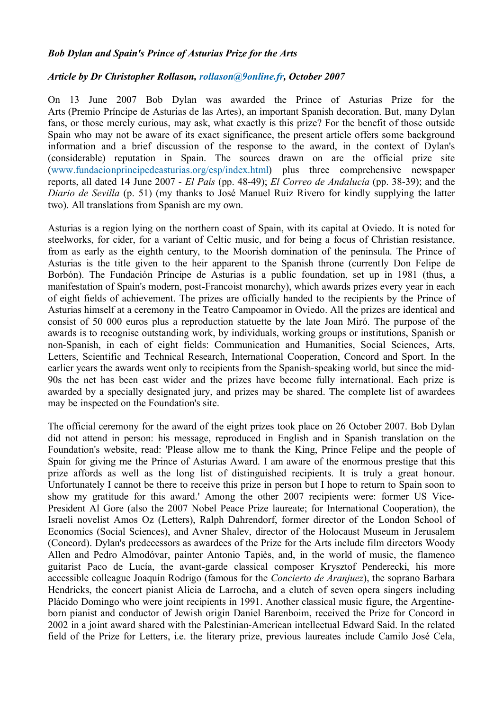## *Bob Dylan and Spain's Prince of Asturias Prize for the Arts*

## *Article by Dr Christopher Rollason, rollason@9online.fr, October 2007*

On 13 June 2007 Bob Dylan was awarded the Prince of Asturias Prize for the Arts (Premio Príncipe de Asturias de las Artes), an important Spanish decoration. But, many Dylan fans, or those merely curious, may ask, what exactly is this prize? For the benefit of those outside Spain who may not be aware of its exact significance, the present article offers some background information and a brief discussion of the response to the award, in the context of Dylan's (considerable) reputation in Spain. The sources drawn on are the official prize site (www.fundacionprincipedeasturias.org/esp/index.html) plus three comprehensive newspaper reports, all dated 14 June 2007 - *El País* (pp. 48-49); *El Correo de Andalucía* (pp. 38-39); and the *Diario de Sevilla* (p. 51) (my thanks to José Manuel Ruiz Rivero for kindly supplying the latter two). All translations from Spanish are my own.

Asturias is a region lying on the northern coast of Spain, with its capital at Oviedo. It is noted for steelworks, for cider, for a variant of Celtic music, and for being a focus of Christian resistance, from as early as the eighth century, to the Moorish domination of the peninsula. The Prince of Asturias is the title given to the heir apparent to the Spanish throne (currently Don Felipe de Borbón). The Fundación Príncipe de Asturias is a public foundation, set up in 1981 (thus, a manifestation of Spain's modern, post-Francoist monarchy), which awards prizes every year in each of eight fields of achievement. The prizes are officially handed to the recipients by the Prince of Asturias himself at a ceremony in the Teatro Campoamor in Oviedo. All the prizes are identical and consist of 50 000 euros plus a reproduction statuette by the late Joan Miró. The purpose of the awards is to recognise outstanding work, by individuals, working groups or institutions, Spanish or non-Spanish, in each of eight fields: Communication and Humanities, Social Sciences, Arts, Letters, Scientific and Technical Research, International Cooperation, Concord and Sport. In the earlier years the awards went only to recipients from the Spanish-speaking world, but since the mid-90s the net has been cast wider and the prizes have become fully international. Each prize is awarded by a specially designated jury, and prizes may be shared. The complete list of awardees may be inspected on the Foundation's site.

The official ceremony for the award of the eight prizes took place on 26 October 2007. Bob Dylan did not attend in person: his message, reproduced in English and in Spanish translation on the Foundation's website, read: 'Please allow me to thank the King, Prince Felipe and the people of Spain for giving me the Prince of Asturias Award. I am aware of the enormous prestige that this prize affords as well as the long list of distinguished recipients. It is truly a great honour. Unfortunately I cannot be there to receive this prize in person but I hope to return to Spain soon to show my gratitude for this award.' Among the other 2007 recipients were: former US Vice-President Al Gore (also the 2007 Nobel Peace Prize laureate; for International Cooperation), the Israeli novelist Amos Oz (Letters), Ralph Dahrendorf, former director of the London School of Economics (Social Sciences), and Avner Shalev, director of the Holocaust Museum in Jerusalem (Concord). Dylan's predecessors as awardees of the Prize for the Arts include film directors Woody Allen and Pedro Almodóvar, painter Antonio Tapiès, and, in the world of music, the flamenco guitarist Paco de Lucía, the avant-garde classical composer Krysztof Penderecki, his more accessible colleague Joaquín Rodrigo (famous for the *Concierto de Aranjuez*), the soprano Barbara Hendricks, the concert pianist Alicia de Larrocha, and a clutch of seven opera singers including Plácido Domingo who were joint recipients in 1991. Another classical music figure, the Argentineborn pianist and conductor of Jewish origin Daniel Barenboim, received the Prize for Concord in 2002 in a joint award shared with the Palestinian-American intellectual Edward Said. In the related field of the Prize for Letters, i.e. the literary prize, previous laureates include Camilo José Cela,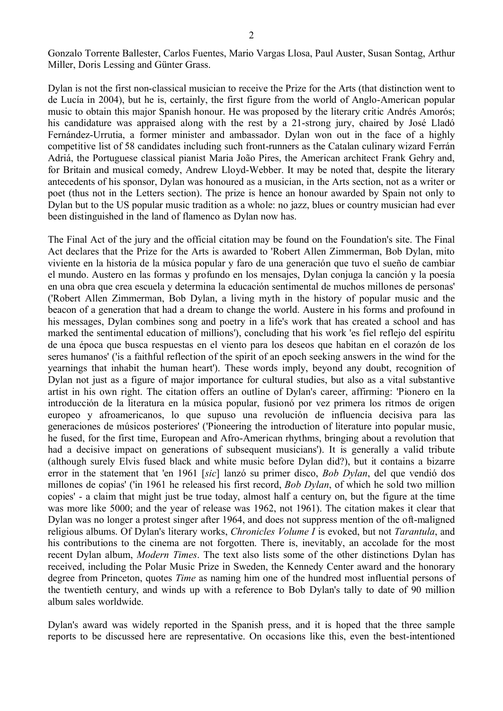Gonzalo Torrente Ballester, Carlos Fuentes, Mario Vargas Llosa, Paul Auster, Susan Sontag, Arthur Miller, Doris Lessing and Günter Grass.

Dylan is not the first non-classical musician to receive the Prize for the Arts (that distinction went to de Lucía in 2004), but he is, certainly, the first figure from the world of Anglo-American popular music to obtain this major Spanish honour. He was proposed by the literary critic Andrés Amorós; his candidature was appraised along with the rest by a 21-strong jury, chaired by José Lladó Fernández-Urrutia, a former minister and ambassador. Dylan won out in the face of a highly competitive list of 58 candidates including such front-runners as the Catalan culinary wizard Ferrán Adriá, the Portuguese classical pianist Maria João Pires, the American architect Frank Gehry and, for Britain and musical comedy, Andrew Lloyd-Webber. It may be noted that, despite the literary antecedents of his sponsor, Dylan was honoured as a musician, in the Arts section, not as a writer or poet (thus not in the Letters section). The prize is hence an honour awarded by Spain not only to Dylan but to the US popular music tradition as a whole: no jazz, blues or country musician had ever been distinguished in the land of flamenco as Dylan now has.

The Final Act of the jury and the official citation may be found on the Foundation's site. The Final Act declares that the Prize for the Arts is awarded to 'Robert Allen Zimmerman, Bob Dylan, mito viviente en la historia de la música popular y faro de una generación que tuvo el sueño de cambiar el mundo. Austero en las formas y profundo en los mensajes, Dylan conjuga la canción y la poesía en una obra que crea escuela y determina la educación sentimental de muchos millones de personas' ('Robert Allen Zimmerman, Bob Dylan, a living myth in the history of popular music and the beacon of a generation that had a dream to change the world. Austere in his forms and profound in his messages, Dylan combines song and poetry in a life's work that has created a school and has marked the sentimental education of millions'), concluding that his work 'es fiel reflejo del espíritu de una época que busca respuestas en el viento para los deseos que habitan en el corazón de los seres humanos' ('is a faithful reflection of the spirit of an epoch seeking answers in the wind for the yearnings that inhabit the human heart'). These words imply, beyond any doubt, recognition of Dylan not just as a figure of major importance for cultural studies, but also as a vital substantive artist in his own right. The citation offers an outline of Dylan's career, affirming: 'Pionero en la introducción de la literatura en la música popular, fusionó por vez primera los ritmos de origen europeo y afroamericanos, lo que supuso una revolución de influencia decisiva para las generaciones de músicos posteriores' ('Pioneering the introduction of literature into popular music, he fused, for the first time, European and Afro-American rhythms, bringing about a revolution that had a decisive impact on generations of subsequent musicians'). It is generally a valid tribute (although surely Elvis fused black and white music before Dylan did?), but it contains a bizarre error in the statement that 'en 1961 [*sic*] lanzó su primer disco, *Bob Dylan*, del que vendió dos millones de copias' ('in 1961 he released his first record, *Bob Dylan*, of which he sold two million copies' - a claim that might just be true today, almost half a century on, but the figure at the time was more like 5000; and the year of release was 1962, not 1961). The citation makes it clear that Dylan was no longer a protest singer after 1964, and does not suppress mention of the oft-maligned religious albums. Of Dylan's literary works, *Chronicles Volume I* is evoked, but not *Tarantula*, and his contributions to the cinema are not forgotten. There is, inevitably, an accolade for the most recent Dylan album, *Modern Times*. The text also lists some of the other distinctions Dylan has received, including the Polar Music Prize in Sweden, the Kennedy Center award and the honorary degree from Princeton, quotes *Time* as naming him one of the hundred most influential persons of the twentieth century, and winds up with a reference to Bob Dylan's tally to date of 90 million album sales worldwide.

Dylan's award was widely reported in the Spanish press, and it is hoped that the three sample reports to be discussed here are representative. On occasions like this, even the best-intentioned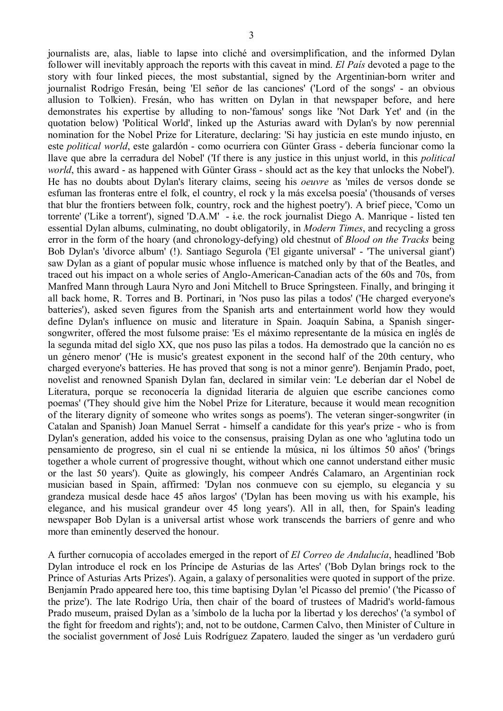journalists are, alas, liable to lapse into cliché and oversimplification, and the informed Dylan follower will inevitably approach the reports with this caveat in mind. *El País* devoted a page to the story with four linked pieces, the most substantial, signed by the Argentinian-born writer and journalist Rodrigo Fresán, being 'El señor de las canciones' ('Lord of the songs' - an obvious allusion to Tolkien). Fresán, who has written on Dylan in that newspaper before, and here demonstrates his expertise by alluding to non-'famous' songs like 'Not Dark Yet' and (in the quotation below) 'Political World', linked up the Asturias award with Dylan's by now perennial nomination for the Nobel Prize for Literature, declaring: 'Si hay justicia en este mundo injusto, en este *political world*, este galardón - como ocurriera con Günter Grass - debería funcionar como la llave que abre la cerradura del Nobel' ('If there is any justice in this unjust world, in this *political world*, this award - as happened with Günter Grass - should act as the key that unlocks the Nobel'). He has no doubts about Dylan's literary claims, seeing his *oeuvre* as 'miles de versos donde se esfuman las fronteras entre el folk, el country, el rock y la más excelsa poesía' ('thousands of verses that blur the frontiers between folk, country, rock and the highest poetry'). A brief piece, 'Como un torrente' ('Like a torrent'), signed 'D.A.M' - i.e. the rock journalist Diego A. Manrique - listed ten essential Dylan albums, culminating, no doubt obligatorily, in *Modern Times*, and recycling a gross error in the form of the hoary (and chronology-defying) old chestnut of *Blood on the Tracks* being Bob Dylan's 'divorce album' (!). Santiago Segurola ('El gigante universal' - 'The universal giant') saw Dylan as a giant of popular music whose influence is matched only by that of the Beatles, and traced out his impact on a whole series of Anglo-American-Canadian acts of the 60s and 70s, from Manfred Mann through Laura Nyro and Joni Mitchell to Bruce Springsteen. Finally, and bringing it all back home, R. Torres and B. Portinari, in 'Nos puso las pilas a todos' ('He charged everyone's batteries'), asked seven figures from the Spanish arts and entertainment world how they would define Dylan's influence on music and literature in Spain. Joaquín Sabina, a Spanish singersongwriter, offered the most fulsome praise: 'Es el máximo representante de la música en inglés de la segunda mitad del siglo XX, que nos puso las pilas a todos. Ha demostrado que la canción no es un género menor' ('He is music's greatest exponent in the second half of the 20th century, who charged everyone's batteries. He has proved that song is not a minor genre'). Benjamín Prado, poet, novelist and renowned Spanish Dylan fan, declared in similar vein: 'Le deberían dar el Nobel de Literatura, porque se reconocería la dignidad literaria de alguien que escribe canciones como poemas' ('They should give him the Nobel Prize for Literature, because it would mean recognition of the literary dignity of someone who writes songs as poems'). The veteran singer-songwriter (in Catalan and Spanish) Joan Manuel Serrat - himself a candidate for this year's prize - who is from Dylan's generation, added his voice to the consensus, praising Dylan as one who 'aglutina todo un pensamiento de progreso, sin el cual ni se entiende la música, ni los últimos 50 años' ('brings together a whole current of progressive thought, without which one cannot understand either music or the last 50 years'). Quite as glowingly, his compeer Andrés Calamaro, an Argentinian rock musician based in Spain, affirmed: 'Dylan nos conmueve con su ejemplo, su elegancia y su grandeza musical desde hace 45 años largos' ('Dylan has been moving us with his example, his elegance, and his musical grandeur over 45 long years'). All in all, then, for Spain's leading newspaper Bob Dylan is a universal artist whose work transcends the barriers of genre and who more than eminently deserved the honour.

A further cornucopia of accolades emerged in the report of *El Correo de Andalucía*, headlined 'Bob Dylan introduce el rock en los Príncipe de Asturias de las Artes' ('Bob Dylan brings rock to the Prince of Asturias Arts Prizes'). Again, a galaxy of personalities were quoted in support of the prize. Benjamín Prado appeared here too, this time baptising Dylan 'el Picasso del premio' ('the Picasso of the prize'). The late Rodrigo Uría, then chair of the board of trustees of Madrid's world-famous Prado museum, praised Dylan as a 'símbolo de la lucha por la libertad y los derechos' ('a symbol of the fight for freedom and rights'); and, not to be outdone, Carmen Calvo, then Minister of Culture in the socialist government of José Luis Rodríguez Zapatero, lauded the singer as 'un verdadero gurú